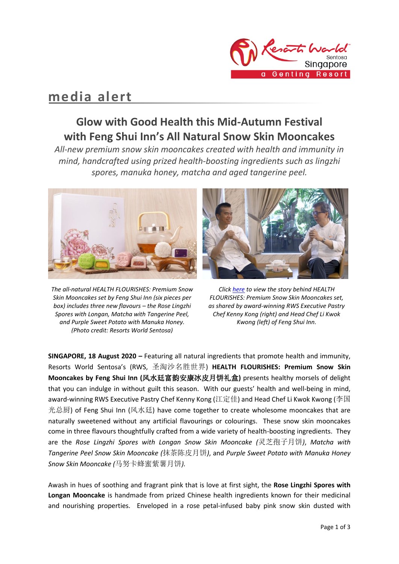

# **media alert**

## **Glow with Good Health this Mid-Autumn Festival with Feng Shui Inn's All Natural Snow Skin Mooncakes**

*All-new premium snow skin mooncakes created with health and immunity in mind, handcrafted using prized health-boosting ingredients such as lingzhi spores, manuka honey, matcha and aged tangerine peel.*



*The all-natural HEALTH FLOURISHES: Premium Snow Skin Mooncakes set by Feng Shui Inn (six pieces per box) includes three new flavours – the Rose Lingzhi Spores with Longan, Matcha with Tangerine Peel, and Purple Sweet Potato with Manuka Honey. (Photo credit: Resorts World Sentosa)*

*Clic[k here](https://www.facebook.com/ResortsWorldatSentosa/posts/10157916607939690) to view the story behind HEALTH FLOURISHES: Premium Snow Skin Mooncakes set, as shared by award-winning RWS Executive Pastry Chef Kenny Kong (right) and Head Chef Li Kwok Kwong (left) of Feng Shui Inn.*

**SINGAPORE, 18 August 2020 –** Featuring all natural ingredients that promote health and immunity, Resorts World Sentosa's (RWS, 圣淘沙名胜世界) **HEALTH FLOURISHES: Premium Snow Skin Mooncakes by Feng Shui Inn (**风水廷富韵安康冰皮月饼礼盒**)** presents healthy morsels of delight that you can indulge in without guilt this season. With our guests' health and well-being in mind, award-winning RWS Executive Pastry Chef Kenny Kong (江定佳) and Head Chef Li Kwok Kwong (李国 光总厨) of Feng Shui Inn (风水廷) have come together to create wholesome mooncakes that are naturally sweetened without any artificial flavourings or colourings. These snow skin mooncakes come in three flavours thoughtfully crafted from a wide variety of health-boosting ingredients. They are the *Rose Lingzhi Spores with Longan Snow Skin Mooncake (*灵芝孢子月饼*)*, *Matcha with Tangerine Peel Snow Skin Mooncake (*抹茶陈皮月饼*)*, and *Purple Sweet Potato with Manuka Honey Snow Skin Mooncake (*马努卡蜂蜜紫薯月饼*).* 

Awash in hues of soothing and fragrant pink that is love at first sight, the **Rose Lingzhi Spores with Longan Mooncake** is handmade from prized Chinese health ingredients known for their medicinal and nourishing properties. Enveloped in a rose petal-infused baby pink snow skin dusted with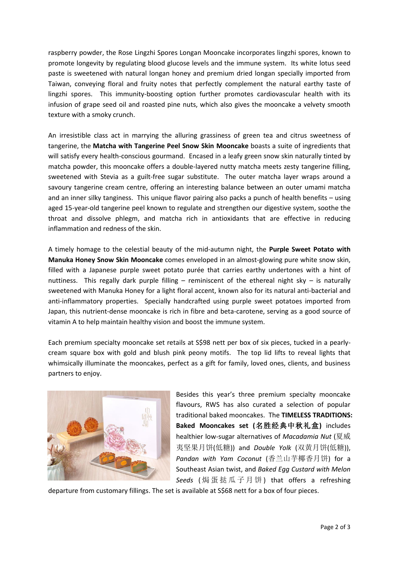raspberry powder, the Rose Lingzhi Spores Longan Mooncake incorporates lingzhi spores, known to promote longevity by regulating blood glucose levels and the immune system. Its white lotus seed paste is sweetened with natural longan honey and premium dried longan specially imported from Taiwan, conveying floral and fruity notes that perfectly complement the natural earthy taste of lingzhi spores. This immunity-boosting option further promotes cardiovascular health with its infusion of grape seed oil and roasted pine nuts, which also gives the mooncake a velvety smooth texture with a smoky crunch.

An irresistible class act in marrying the alluring grassiness of green tea and citrus sweetness of tangerine, the **Matcha with Tangerine Peel Snow Skin Mooncake** boasts a suite of ingredients that will satisfy every health-conscious gourmand. Encased in a leafy green snow skin naturally tinted by matcha powder, this mooncake offers a double-layered nutty matcha meets zesty tangerine filling, sweetened with Stevia as a guilt-free sugar substitute. The outer matcha layer wraps around a savoury tangerine cream centre, offering an interesting balance between an outer umami matcha and an inner silky tanginess. This unique flavor pairing also packs a punch of health benefits – using aged 15-year-old tangerine peel known to regulate and strengthen our digestive system, soothe the throat and dissolve phlegm, and matcha rich in antioxidants that are effective in reducing inflammation and redness of the skin.

A timely homage to the celestial beauty of the mid-autumn night, the **Purple Sweet Potato with Manuka Honey Snow Skin Mooncake** comes enveloped in an almost-glowing pure white snow skin, filled with a Japanese purple sweet potato purée that carries earthy undertones with a hint of nuttiness. This regally dark purple filling – reminiscent of the ethereal night sky – is naturally sweetened with Manuka Honey for a light floral accent, known also for its natural anti-bacterial and anti-inflammatory properties. Specially handcrafted using purple sweet potatoes imported from Japan, this nutrient-dense mooncake is rich in fibre and beta-carotene, serving as a good source of vitamin A to help maintain healthy vision and boost the immune system.

Each premium specialty mooncake set retails at S\$98 nett per box of six pieces, tucked in a pearlycream square box with gold and blush pink peony motifs. The top lid lifts to reveal lights that whimsically illuminate the mooncakes, perfect as a gift for family, loved ones, clients, and business partners to enjoy.



Besides this year's three premium specialty mooncake flavours, RWS has also curated a selection of popular traditional baked mooncakes. The **TIMELESS TRADITIONS: Baked Mooncakes set (**名胜经典中秋礼盒**)** includes healthier low-sugar alternatives of *Macadamia Nut* (夏威 夷坚果月饼(低糖)) and *Double Yolk* (双黄月饼(低糖)), *Pandan with Yam Coconut* (香兰山芋椰香月饼) for a Southeast Asian twist, and *Baked Egg Custard with Melon Seeds* ( 焗 蛋 挞 瓜 子 月 饼 ) that offers a refreshing

departure from customary fillings. The set is available at S\$68 nett for a box of four pieces.